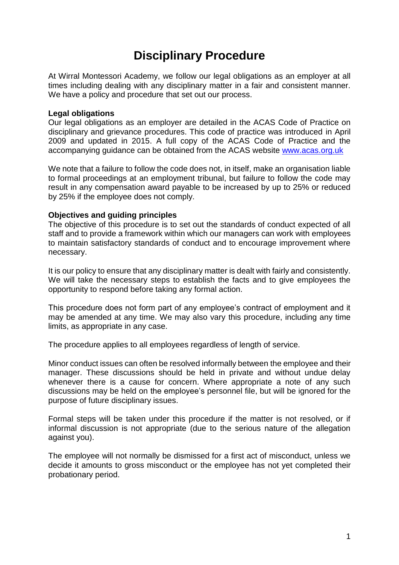# **Disciplinary Procedure**

At Wirral Montessori Academy, we follow our legal obligations as an employer at all times including dealing with any disciplinary matter in a fair and consistent manner. We have a policy and procedure that set out our process.

#### **Legal obligations**

Our legal obligations as an employer are detailed in the ACAS Code of Practice on disciplinary and grievance procedures. This code of practice was introduced in April 2009 and updated in 2015. A full copy of the ACAS Code of Practice and the accompanying guidance can be obtained from the ACAS website [www.acas.org.uk](http://www.acas.org.uk/) 

We note that a failure to follow the code does not, in itself, make an organisation liable to formal proceedings at an employment tribunal, but failure to follow the code may result in any compensation award payable to be increased by up to 25% or reduced by 25% if the employee does not comply.

#### **Objectives and guiding principles**

The objective of this procedure is to set out the standards of conduct expected of all staff and to provide a framework within which our managers can work with employees to maintain satisfactory standards of conduct and to encourage improvement where necessary.

It is our policy to ensure that any disciplinary matter is dealt with fairly and consistently. We will take the necessary steps to establish the facts and to give employees the opportunity to respond before taking any formal action.

This procedure does not form part of any employee's contract of employment and it may be amended at any time. We may also vary this procedure, including any time limits, as appropriate in any case.

The procedure applies to all employees regardless of length of service.

Minor conduct issues can often be resolved informally between the employee and their manager. These discussions should be held in private and without undue delay whenever there is a cause for concern. Where appropriate a note of any such discussions may be held on the employee's personnel file, but will be ignored for the purpose of future disciplinary issues.

Formal steps will be taken under this procedure if the matter is not resolved, or if informal discussion is not appropriate (due to the serious nature of the allegation against you).

The employee will not normally be dismissed for a first act of misconduct, unless we decide it amounts to gross misconduct or the employee has not yet completed their probationary period.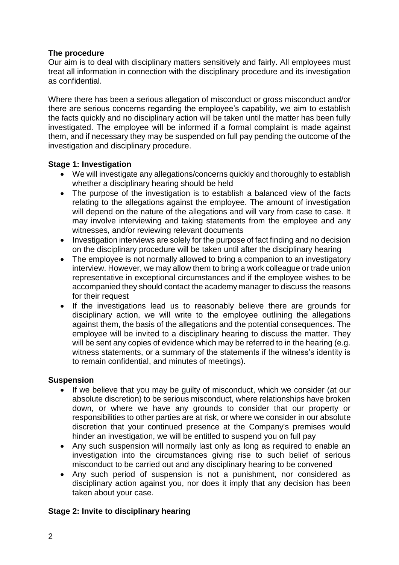## **The procedure**

Our aim is to deal with disciplinary matters sensitively and fairly. All employees must treat all information in connection with the disciplinary procedure and its investigation as confidential.

Where there has been a serious allegation of misconduct or gross misconduct and/or there are serious concerns regarding the employee's capability, we aim to establish the facts quickly and no disciplinary action will be taken until the matter has been fully investigated. The employee will be informed if a formal complaint is made against them, and if necessary they may be suspended on full pay pending the outcome of the investigation and disciplinary procedure.

## **Stage 1: Investigation**

- We will investigate any allegations/concerns quickly and thoroughly to establish whether a disciplinary hearing should be held
- The purpose of the investigation is to establish a balanced view of the facts relating to the allegations against the employee. The amount of investigation will depend on the nature of the allegations and will vary from case to case. It may involve interviewing and taking statements from the employee and any witnesses, and/or reviewing relevant documents
- Investigation interviews are solely for the purpose of fact finding and no decision on the disciplinary procedure will be taken until after the disciplinary hearing
- The employee is not normally allowed to bring a companion to an investigatory interview. However, we may allow them to bring a work colleague or trade union representative in exceptional circumstances and if the employee wishes to be accompanied they should contact the academy manager to discuss the reasons for their request
- If the investigations lead us to reasonably believe there are grounds for disciplinary action, we will write to the employee outlining the allegations against them, the basis of the allegations and the potential consequences. The employee will be invited to a disciplinary hearing to discuss the matter. They will be sent any copies of evidence which may be referred to in the hearing (e.g. witness statements, or a summary of the statements if the witness's identity is to remain confidential, and minutes of meetings).

#### **Suspension**

- If we believe that you may be quilty of misconduct, which we consider (at our absolute discretion) to be serious misconduct, where relationships have broken down, or where we have any grounds to consider that our property or responsibilities to other parties are at risk, or where we consider in our absolute discretion that your continued presence at the Company's premises would hinder an investigation, we will be entitled to suspend you on full pay
- Any such suspension will normally last only as long as required to enable an investigation into the circumstances giving rise to such belief of serious misconduct to be carried out and any disciplinary hearing to be convened
- Any such period of suspension is not a punishment, nor considered as disciplinary action against you, nor does it imply that any decision has been taken about your case.

# **Stage 2: Invite to disciplinary hearing**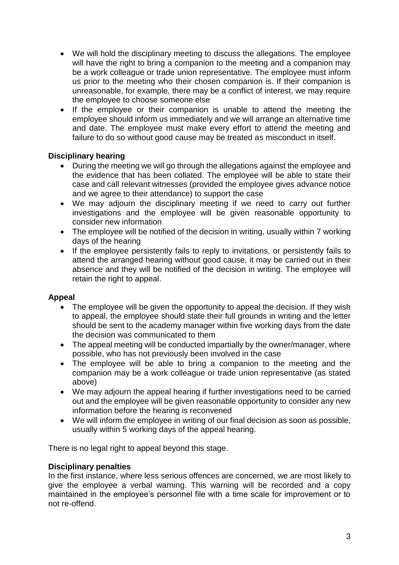- We will hold the disciplinary meeting to discuss the allegations. The employee will have the right to bring a companion to the meeting and a companion may be a work colleague or trade union representative. The employee must inform us prior to the meeting who their chosen companion is. If their companion is unreasonable, for example, there may be a conflict of interest, we may require the employee to choose someone else
- If the employee or their companion is unable to attend the meeting the employee should inform us immediately and we will arrange an alternative time and date. The employee must make every effort to attend the meeting and failure to do so without good cause may be treated as misconduct in itself.

# **Disciplinary hearing**

- During the meeting we will go through the allegations against the employee and the evidence that has been collated. The employee will be able to state their case and call relevant witnesses (provided the employee gives advance notice and we agree to their attendance) to support the case
- We may adjourn the disciplinary meeting if we need to carry out further investigations and the employee will be given reasonable opportunity to consider new information
- The employee will be notified of the decision in writing, usually within 7 working days of the hearing
- If the employee persistently fails to reply to invitations, or persistently fails to attend the arranged hearing without good cause, it may be carried out in their absence and they will be notified of the decision in writing. The employee will retain the right to appeal.

# **Appeal**

- The employee will be given the opportunity to appeal the decision. If they wish to appeal, the employee should state their full grounds in writing and the letter should be sent to the academy manager within five working days from the date the decision was communicated to them
- The appeal meeting will be conducted impartially by the owner/manager, where possible, who has not previously been involved in the case
- The employee will be able to bring a companion to the meeting and the companion may be a work colleague or trade union representative (as stated above)
- We may adjourn the appeal hearing if further investigations need to be carried out and the employee will be given reasonable opportunity to consider any new information before the hearing is reconvened
- We will inform the employee in writing of our final decision as soon as possible, usually within 5 working days of the appeal hearing.

There is no legal right to appeal beyond this stage.

# **Disciplinary penalties**

In the first instance, where less serious offences are concerned, we are most likely to give the employee a verbal warning. This warning will be recorded and a copy maintained in the employee's personnel file with a time scale for improvement or to not re-offend.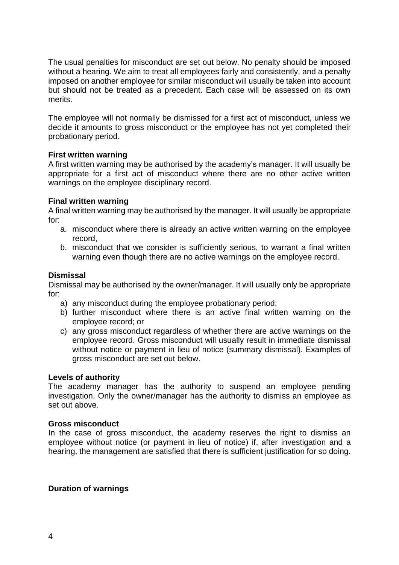The usual penalties for misconduct are set out below. No penalty should be imposed without a hearing. We aim to treat all employees fairly and consistently, and a penalty imposed on another employee for similar misconduct will usually be taken into account but should not be treated as a precedent. Each case will be assessed on its own merits.

The employee will not normally be dismissed for a first act of misconduct, unless we decide it amounts to gross misconduct or the employee has not yet completed their probationary period.

#### **First written warning**

A first written warning may be authorised by the academy's manager. It will usually be appropriate for a first act of misconduct where there are no other active written warnings on the employee disciplinary record.

#### **Final written warning**

A final written warning may be authorised by the manager. It will usually be appropriate for:

- a. misconduct where there is already an active written warning on the employee record,
- b. misconduct that we consider is sufficiently serious, to warrant a final written warning even though there are no active warnings on the employee record.

#### **Dismissal**

Dismissal may be authorised by the owner/manager. It will usually only be appropriate for:

- a) any misconduct during the employee probationary period;
- b) further misconduct where there is an active final written warning on the employee record; or
- c) any gross misconduct regardless of whether there are active warnings on the employee record. Gross misconduct will usually result in immediate dismissal without notice or payment in lieu of notice (summary dismissal). Examples of gross misconduct are set out below.

#### **Levels of authority**

The academy manager has the authority to suspend an employee pending investigation. Only the owner/manager has the authority to dismiss an employee as set out above.

#### **Gross misconduct**

In the case of gross misconduct, the academy reserves the right to dismiss an employee without notice (or payment in lieu of notice) if, after investigation and a hearing, the management are satisfied that there is sufficient justification for so doing.

#### **Duration of warnings**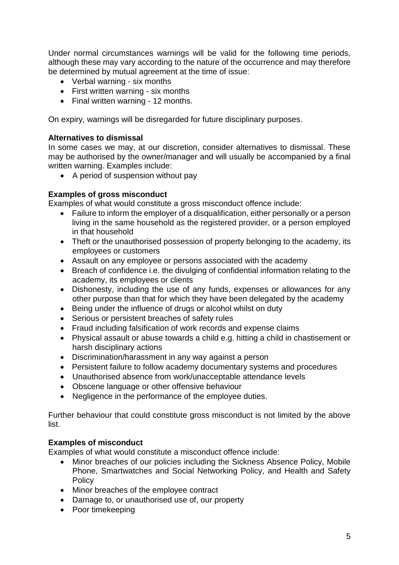Under normal circumstances warnings will be valid for the following time periods, although these may vary according to the nature of the occurrence and may therefore be determined by mutual agreement at the time of issue:

- Verbal warning six months
- First written warning six months
- Final written warning 12 months.

On expiry, warnings will be disregarded for future disciplinary purposes.

## **Alternatives to dismissal**

In some cases we may, at our discretion, consider alternatives to dismissal. These may be authorised by the owner/manager and will usually be accompanied by a final written warning. Examples include:

• A period of suspension without pay

## **Examples of gross misconduct**

Examples of what would constitute a gross misconduct offence include:

- Failure to inform the employer of a disqualification, either personally or a person living in the same household as the registered provider, or a person employed in that household
- Theft or the unauthorised possession of property belonging to the academy, its employees or customers
- Assault on any employee or persons associated with the academy
- Breach of confidence i.e. the divulging of confidential information relating to the academy, its employees or clients
- Dishonesty, including the use of any funds, expenses or allowances for any other purpose than that for which they have been delegated by the academy
- Being under the influence of drugs or alcohol whilst on duty
- Serious or persistent breaches of safety rules
- Fraud including falsification of work records and expense claims
- Physical assault or abuse towards a child e.g. hitting a child in chastisement or harsh disciplinary actions
- Discrimination/harassment in any way against a person
- Persistent failure to follow academy documentary systems and procedures
- Unauthorised absence from work/unacceptable attendance levels
- Obscene language or other offensive behaviour
- Negligence in the performance of the employee duties.

Further behaviour that could constitute gross misconduct is not limited by the above list.

# **Examples of misconduct**

Examples of what would constitute a misconduct offence include:

- Minor breaches of our policies including the Sickness Absence Policy, Mobile Phone, Smartwatches and Social Networking Policy, and Health and Safety Policy
- Minor breaches of the employee contract
- Damage to, or unauthorised use of, our property
- Poor timekeeping